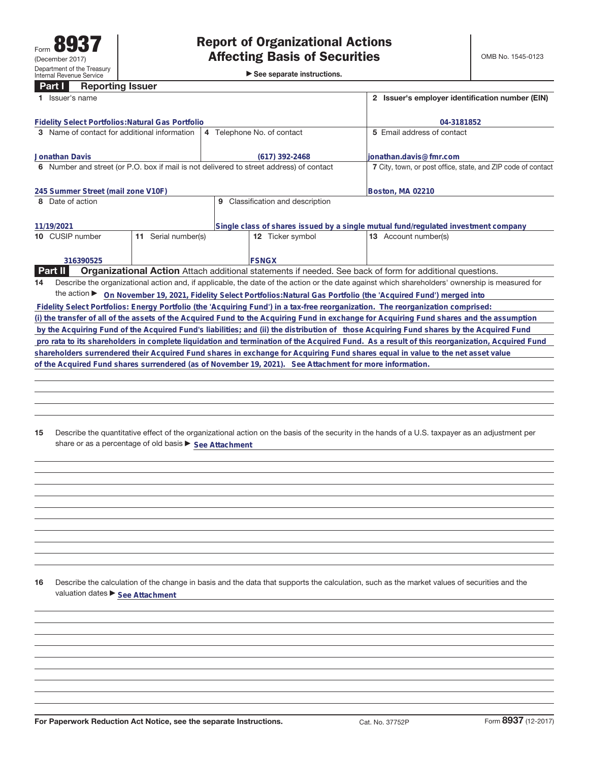# **Part I Reporting Issuer**

| <b>Affecting Basis of Securities</b>        |
|---------------------------------------------|
| $\triangleright$ See separate instructions. |

| Issuer's name                                                                              |                        | Issuer's employer identification number (EIN)<br>$\mathbf{2}$                      |                                                                                                                                                 |
|--------------------------------------------------------------------------------------------|------------------------|------------------------------------------------------------------------------------|-------------------------------------------------------------------------------------------------------------------------------------------------|
| <b>Fidelity Select Portfolios: Natural Gas Portfolio</b>                                   |                        | 04-3181852                                                                         |                                                                                                                                                 |
| Name of contact for additional information<br>3                                            |                        | 4 Telephone No. of contact                                                         | 5 Email address of contact                                                                                                                      |
| <b>Jonathan Davis</b>                                                                      |                        | (617) 392-2468                                                                     | lionathan.davis@fmr.com                                                                                                                         |
| Number and street (or P.O. box if mail is not delivered to street address) of contact<br>6 |                        |                                                                                    | 7 City, town, or post office, state, and ZIP code of contact                                                                                    |
| 245 Summer Street (mail zone V10F)                                                         |                        | Boston, MA 02210                                                                   |                                                                                                                                                 |
| Classification and description<br>Date of action<br>9                                      |                        |                                                                                    |                                                                                                                                                 |
| 11/19/2021                                                                                 |                        | Single class of shares issued by a single mutual fund/regulated investment company |                                                                                                                                                 |
| 10 CUSIP number                                                                            | Serial number(s)<br>11 | 12 Ticker symbol                                                                   | <b>13</b> Account number(s)                                                                                                                     |
| 316390525                                                                                  |                        |                                                                                    |                                                                                                                                                 |
| <b>Part II</b>                                                                             |                        |                                                                                    | <b>Organizational Action</b> Attach additional statements if needed. See back of form for additional questions.                                 |
| 14                                                                                         |                        |                                                                                    | Describe the organizational action and, if applicable, the date of the action or the date against which shareholders' ownership is measured for |
| the action $\blacktriangleright$                                                           |                        |                                                                                    | On November 19, 2021, Fidelity Select Portfolios: Natural Gas Portfolio (the 'Acquired Fund') merged into                                       |
|                                                                                            |                        |                                                                                    | Fidelity Select Portfolios: Energy Portfolio (the 'Acquiring Fund') in a tax-free reorganization. The reorganization comprised:                 |
|                                                                                            |                        |                                                                                    | (i) the transfer of all of the assets of the Acquired Fund to the Acquiring Fund in exchange for Acquiring Fund shares and the assumption       |
|                                                                                            |                        |                                                                                    | by the Acquiring Fund of the Acquired Fund's liabilities; and (ii) the distribution of those Acquiring Fund shares by the Acquired Fund         |
|                                                                                            |                        |                                                                                    | pro rata to its shareholders in complete liquidation and termination of the Acquired Fund. As a result of this reorganization, Acquired Fund    |

**shareholders surrendered their Acquired Fund shares in exchange for Acquiring Fund shares equal in value to the net asset value of the Acquired Fund shares surrendered (as of November 19, 2021). See Attachment for more information.**

**15** Describe the quantitative effect of the organizational action on the basis of the security in the hands of a U.S. taxpayer as an adjustment per share or as a percentage of old basis  $\blacktriangleright$  See Attachment

**16** Describe the calculation of the change in basis and the data that supports the calculation, such as the market values of securities and the valuation dates  $\blacktriangleright$  **See Attachment**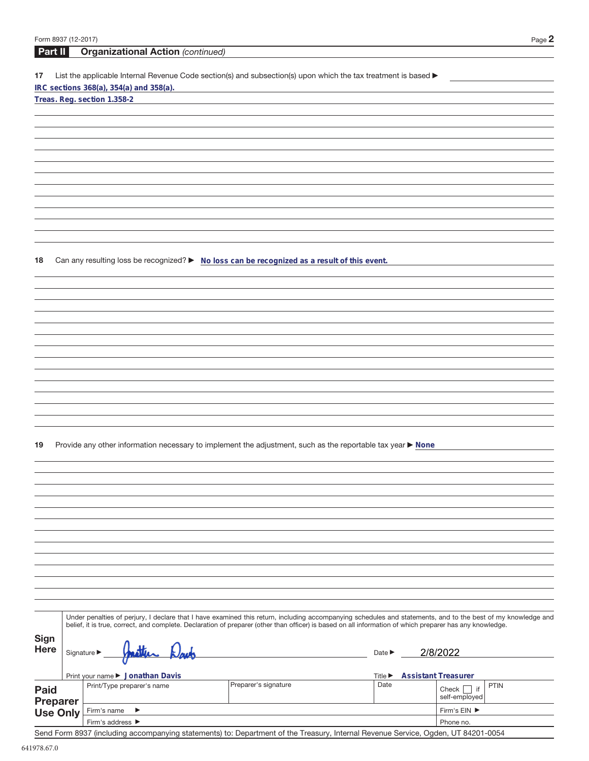| Form 8937 (12-2017) |                                                                                                                                                              |                      |                             | Page 2                                |
|---------------------|--------------------------------------------------------------------------------------------------------------------------------------------------------------|----------------------|-----------------------------|---------------------------------------|
| Part II             | <b>Organizational Action (continued)</b>                                                                                                                     |                      |                             |                                       |
|                     |                                                                                                                                                              |                      |                             |                                       |
| 17                  | List the applicable Internal Revenue Code section(s) and subsection(s) upon which the tax treatment is based ▶<br>IRC sections 368(a), 354(a) and 358(a).    |                      |                             |                                       |
|                     | Treas. Reg. section 1.358-2                                                                                                                                  |                      |                             |                                       |
|                     |                                                                                                                                                              |                      |                             |                                       |
|                     |                                                                                                                                                              |                      |                             |                                       |
|                     |                                                                                                                                                              |                      |                             |                                       |
|                     |                                                                                                                                                              |                      |                             |                                       |
|                     |                                                                                                                                                              |                      |                             |                                       |
|                     |                                                                                                                                                              |                      |                             |                                       |
|                     |                                                                                                                                                              |                      |                             |                                       |
|                     |                                                                                                                                                              |                      |                             |                                       |
|                     |                                                                                                                                                              |                      |                             |                                       |
|                     |                                                                                                                                                              |                      |                             |                                       |
|                     |                                                                                                                                                              |                      |                             |                                       |
|                     |                                                                                                                                                              |                      |                             |                                       |
| 18                  | Can any resulting loss be recognized? ► No loss can be recognized as a result of this event.                                                                 |                      |                             |                                       |
|                     |                                                                                                                                                              |                      |                             |                                       |
|                     |                                                                                                                                                              |                      |                             |                                       |
|                     |                                                                                                                                                              |                      |                             |                                       |
|                     |                                                                                                                                                              |                      |                             |                                       |
|                     |                                                                                                                                                              |                      |                             |                                       |
|                     |                                                                                                                                                              |                      |                             |                                       |
|                     |                                                                                                                                                              |                      |                             |                                       |
|                     |                                                                                                                                                              |                      |                             |                                       |
|                     |                                                                                                                                                              |                      |                             |                                       |
|                     |                                                                                                                                                              |                      |                             |                                       |
|                     |                                                                                                                                                              |                      |                             |                                       |
|                     |                                                                                                                                                              |                      |                             |                                       |
|                     |                                                                                                                                                              |                      |                             |                                       |
| 19                  | Provide any other information necessary to implement the adjustment, such as the reportable tax year ▶ None                                                  |                      |                             |                                       |
|                     |                                                                                                                                                              |                      |                             |                                       |
|                     |                                                                                                                                                              |                      |                             |                                       |
|                     |                                                                                                                                                              |                      |                             |                                       |
|                     |                                                                                                                                                              |                      |                             |                                       |
|                     |                                                                                                                                                              |                      |                             |                                       |
|                     |                                                                                                                                                              |                      |                             |                                       |
|                     |                                                                                                                                                              |                      |                             |                                       |
|                     |                                                                                                                                                              |                      |                             |                                       |
|                     |                                                                                                                                                              |                      |                             |                                       |
|                     |                                                                                                                                                              |                      |                             |                                       |
|                     |                                                                                                                                                              |                      |                             |                                       |
|                     |                                                                                                                                                              |                      |                             |                                       |
|                     | Under penalties of perjury, I declare that I have examined this return, including accompanying schedules and statements, and to the best of my knowledge and |                      |                             |                                       |
|                     | belief, it is true, correct, and complete. Declaration of preparer (other than officer) is based on all information of which preparer has any knowledge.     |                      |                             |                                       |
| <b>Sign</b>         |                                                                                                                                                              |                      |                             |                                       |
| <b>Here</b>         | Signature $\blacktriangleright$                                                                                                                              |                      | Date $\blacktriangleright$  | 2/8/2022                              |
|                     |                                                                                                                                                              |                      |                             |                                       |
|                     | Print your name ▶ Jonathan Davis                                                                                                                             |                      | Title $\blacktriangleright$ | <b>Assistant Treasurer</b>            |
| <b>Paid</b>         | Print/Type preparer's name                                                                                                                                   | Preparer's signature | Date                        | <b>PTIN</b><br>Check $\vert \vert$ if |
| <b>Preparer</b>     |                                                                                                                                                              |                      |                             | self-employed                         |
| <b>Use Only</b>     | Firm's name<br>▶                                                                                                                                             |                      |                             | Firm's EIN ▶                          |
|                     | Firm's address ▶                                                                                                                                             |                      |                             | Phone no.                             |

Send Form 8937 (including accompanying statements) to: Department of the Treasury, Internal Revenue Service, Ogden, UT 84201-0054